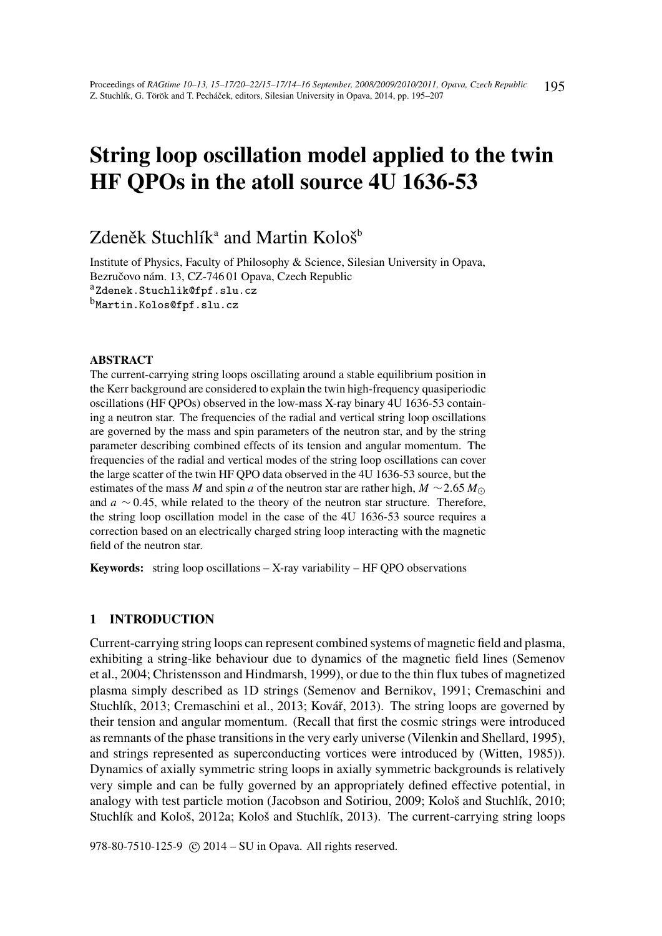# String loop oscillation model applied to the twin HF QPOs in the atoll source 4U 1636-53

# Zdeněk Stuchlík $^{\rm a}$  and Martin Kološ $^{\rm b}$

Institute of Physics, Faculty of Philosophy & Science, Silesian University in Opava, Bezručovo nám. 13, CZ-746 01 Opava, Czech Republic aZdenek.Stuchlik@fpf.slu.cz bMartin.Kolos@fpf.slu.cz

# ABSTRACT

The current-carrying string loops oscillating around a stable equilibrium position in the Kerr background are considered to explain the twin high-frequency quasiperiodic oscillations (HF QPOs) observed in the low-mass X-ray binary 4U 1636-53 containing a neutron star. The frequencies of the radial and vertical string loop oscillations are governed by the mass and spin parameters of the neutron star, and by the string parameter describing combined effects of its tension and angular momentum. The frequencies of the radial and vertical modes of the string loop oscillations can cover the large scatter of the twin HF QPO data observed in the 4U 1636-53 source, but the estimates of the mass *M* and spin *a* of the neutron star are rather high,  $M \sim 2.65 M_{\odot}$ and *a* ∼ 0.45, while related to the theory of the neutron star structure. Therefore, the string loop oscillation model in the case of the 4U 1636-53 source requires a correction based on an electrically charged string loop interacting with the magnetic field of the neutron star.

Keywords: string loop oscillations - X-ray variability - HF QPO observations

#### 1 INTRODUCTION

Current-carrying string loops can represent combined systems of magnetic field and plasma, exhibiting a string-like behaviour due to dynamics of the magnetic field lines (Semenov et al., 2004; Christensson and Hindmarsh, 1999), or due to the thin flux tubes of magnetized plasma simply described as 1D strings (Semenov and Bernikov, 1991; Cremaschini and Stuchlík, 2013; Cremaschini et al., 2013; Kovář, 2013). The string loops are governed by their tension and angular momentum. (Recall that first the cosmic strings were introduced as remnants of the phase transitions in the very early universe (Vilenkin and Shellard, 1995), and strings represented as superconducting vortices were introduced by (Witten, 1985)). Dynamics of axially symmetric string loops in axially symmetric backgrounds is relatively very simple and can be fully governed by an appropriately defined effective potential, in analogy with test particle motion (Jacobson and Sotiriou, 2009; Kološ and Stuchlík, 2010; Stuchlík and Kološ, 2012a; Kološ and Stuchlík, 2013). The current-carrying string loops

978-80-7510-125-9 (c) 2014 – SU in Opava. All rights reserved.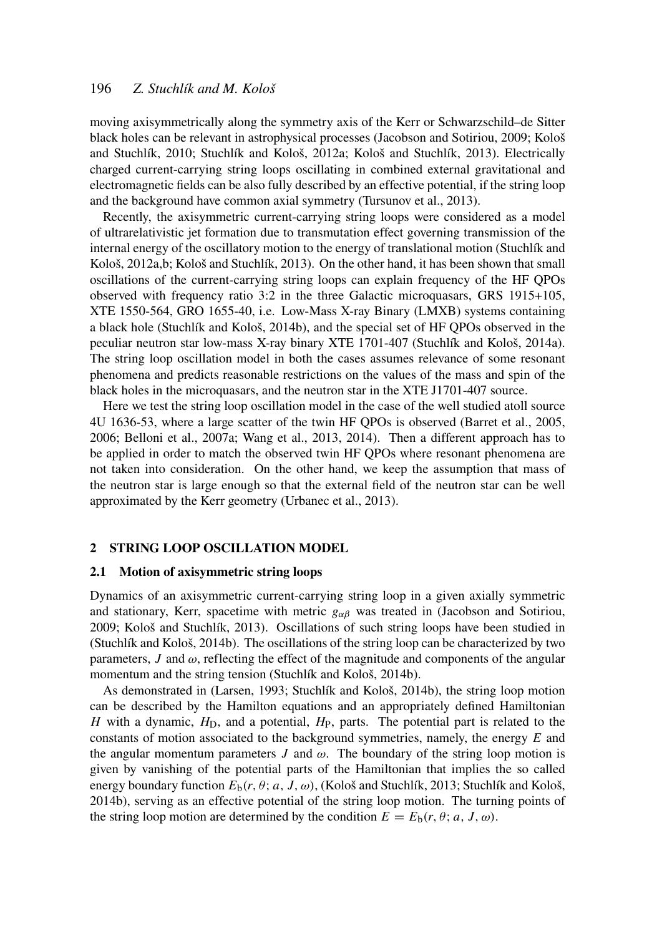moving axisymmetrically along the symmetry axis of the Kerr or Schwarzschild–de Sitter black holes can be relevant in astrophysical processes (Jacobson and Sotiriou, 2009; Kološ and Stuchlík, 2010; Stuchlík and Kološ, 2012a; Kološ and Stuchlík, 2013). Electrically charged current-carrying string loops oscillating in combined external gravitational and electromagnetic fields can be also fully described by an effective potential, if the string loop and the background have common axial symmetry (Tursunov et al., 2013).

Recently, the axisymmetric current-carrying string loops were considered as a model of ultrarelativistic jet formation due to transmutation effect governing transmission of the internal energy of the oscillatory motion to the energy of translational motion (Stuchlík and Kološ, 2012a,b; Kološ and Stuchlík, 2013). On the other hand, it has been shown that small oscillations of the current-carrying string loops can explain frequency of the HF QPOs observed with frequency ratio 3:2 in the three Galactic microquasars, GRS 1915+105, XTE 1550-564, GRO 1655-40, i.e. Low-Mass X-ray Binary (LMXB) systems containing a black hole (Stuchlík and Kološ, 2014b), and the special set of HF QPOs observed in the peculiar neutron star low-mass X-ray binary XTE 1701-407 (Stuchlík and Kološ, 2014a). The string loop oscillation model in both the cases assumes relevance of some resonant phenomena and predicts reasonable restrictions on the values of the mass and spin of the black holes in the microquasars, and the neutron star in the XTE J1701-407 source.

Here we test the string loop oscillation model in the case of the well studied atoll source 4U 1636-53, where a large scatter of the twin HF QPOs is observed (Barret et al., 2005, 2006; Belloni et al., 2007a; Wang et al., 2013, 2014). Then a different approach has to be applied in order to match the observed twin HF QPOs where resonant phenomena are not taken into consideration. On the other hand, we keep the assumption that mass of the neutron star is large enough so that the external field of the neutron star can be well approximated by the Kerr geometry (Urbanec et al., 2013).

#### 2 STRING LOOP OSCILLATION MODEL

#### 2.1 Motion of axisymmetric string loops

Dynamics of an axisymmetric current-carrying string loop in a given axially symmetric and stationary, Kerr, spacetime with metric  $g_{\alpha\beta}$  was treated in (Jacobson and Sotiriou, 2009; Kološ and Stuchlík, 2013). Oscillations of such string loops have been studied in (Stuchlík and Kološ, 2014b). The oscillations of the string loop can be characterized by two parameters,  $J$  and  $\omega$ , reflecting the effect of the magnitude and components of the angular momentum and the string tension (Stuchlík and Kološ, 2014b).

As demonstrated in (Larsen, 1993; Stuchlík and Kološ, 2014b), the string loop motion can be described by the Hamilton equations and an appropriately defined Hamiltonian *H* with a dynamic,  $H_D$ , and a potential,  $H_P$ , parts. The potential part is related to the constants of motion associated to the background symmetries, namely, the energy *E* and the angular momentum parameters  $J$  and  $\omega$ . The boundary of the string loop motion is given by vanishing of the potential parts of the Hamiltonian that implies the so called energy boundary function  $E_b(r, \theta; a, J, \omega)$ , (Kološ and Stuchlík, 2013; Stuchlík and Kološ, 2014b), serving as an effective potential of the string loop motion. The turning points of the string loop motion are determined by the condition  $E = E<sub>b</sub>(r, \theta; a, J, \omega)$ .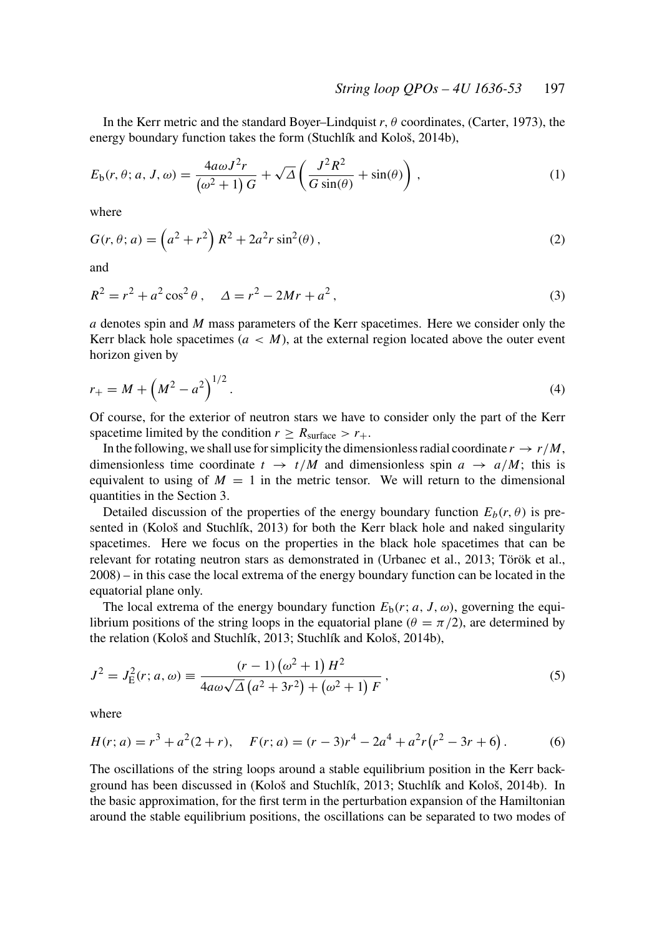In the Kerr metric and the standard Boyer–Lindquist *r*, θ coordinates, (Carter, 1973), the energy boundary function takes the form (Stuchlík and Kološ, 2014b),

$$
E_b(r, \theta; a, J, \omega) = \frac{4a\omega J^2 r}{(\omega^2 + 1) G} + \sqrt{\Delta} \left( \frac{J^2 R^2}{G \sin(\theta)} + \sin(\theta) \right), \tag{1}
$$

where

$$
G(r, \theta; a) = \left(a^2 + r^2\right) R^2 + 2a^2 r \sin^2(\theta),
$$
\n(2)

and

$$
R^{2} = r^{2} + a^{2} \cos^{2} \theta , \quad \Delta = r^{2} - 2Mr + a^{2}, \tag{3}
$$

*a* denotes spin and *M* mass parameters of the Kerr spacetimes. Here we consider only the Kerr black hole spacetimes  $(a < M)$ , at the external region located above the outer event horizon given by

$$
r_{+} = M + \left(M^{2} - a^{2}\right)^{1/2}.\tag{4}
$$

Of course, for the exterior of neutron stars we have to consider only the part of the Kerr spacetime limited by the condition  $r \geq R_{\text{surface}} > r_+$ .

In the following, we shall use for simplicity the dimensionless radial coordinate  $r \rightarrow r/M$ , dimensionless time coordinate  $t \rightarrow t/M$  and dimensionless spin  $a \rightarrow a/M$ ; this is equivalent to using of  $M = 1$  in the metric tensor. We will return to the dimensional quantities in the Section 3.

Detailed discussion of the properties of the energy boundary function  $E_b(r, \theta)$  is presented in (Kološ and Stuchlík, 2013) for both the Kerr black hole and naked singularity spacetimes. Here we focus on the properties in the black hole spacetimes that can be relevant for rotating neutron stars as demonstrated in (Urbanec et al., 2013; Török et al., 2008) – in this case the local extrema of the energy boundary function can be located in the equatorial plane only.

The local extrema of the energy boundary function  $E_b(r; a, J, \omega)$ , governing the equilibrium positions of the string loops in the equatorial plane ( $\theta = \pi/2$ ), are determined by the relation (Kološ and Stuchlík, 2013; Stuchlík and Kološ, 2014b),

$$
J^{2} = J_{E}^{2}(r; a, \omega) \equiv \frac{(r-1)(\omega^{2}+1)H^{2}}{4a\omega\sqrt{\Delta} (a^{2}+3r^{2}) + (\omega^{2}+1)F},
$$
\n(5)

where

$$
H(r; a) = r3 + a2(2+r), \quad F(r; a) = (r - 3)r4 - 2a4 + a2r(r2 - 3r + 6).
$$
 (6)

The oscillations of the string loops around a stable equilibrium position in the Kerr background has been discussed in (Kološ and Stuchlík, 2013; Stuchlík and Kološ, 2014b). In the basic approximation, for the first term in the perturbation expansion of the Hamiltonian around the stable equilibrium positions, the oscillations can be separated to two modes of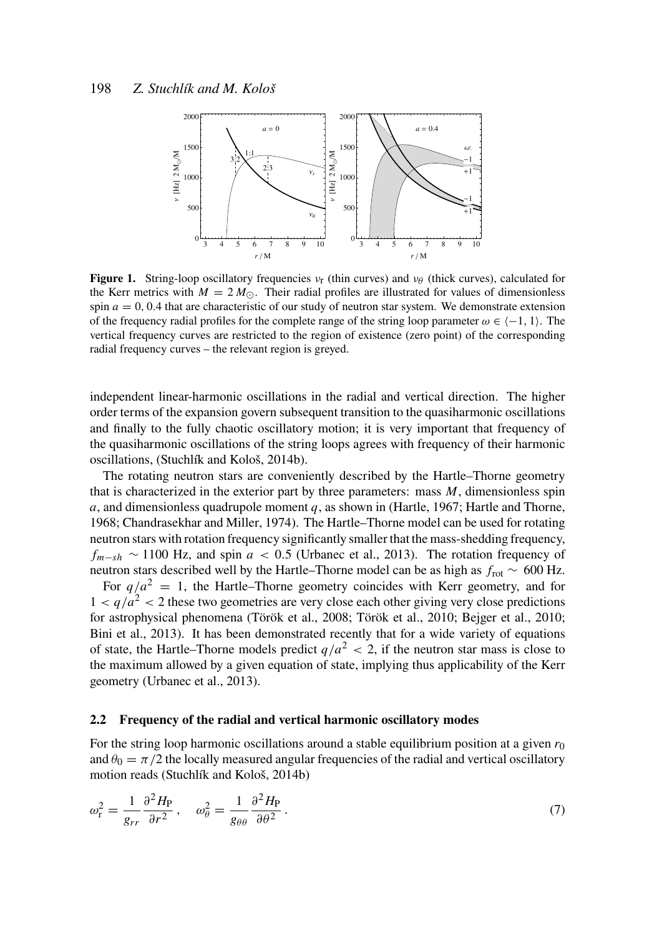

**Figure 1.** String-loop oscillatory frequencies  $v_r$  (thin curves) and  $v_\theta$  (thick curves), calculated for the Kerr metrics with  $M = 2 M_{\odot}$ . Their radial profiles are illustrated for values of dimensionless spin  $a = 0, 0.4$  that are characteristic of our study of neutron star system. We demonstrate extension of the frequency radial profiles for the complete range of the string loop parameter  $\omega \in \{-1, 1\}$ . The vertical frequency curves are restricted to the region of existence (zero point) of the corresponding radial frequency curves – the relevant region is greyed.

independent linear-harmonic oscillations in the radial and vertical direction. The higher order terms of the expansion govern subsequent transition to the quasiharmonic oscillations and finally to the fully chaotic oscillatory motion; it is very important that frequency of the quasiharmonic oscillations of the string loops agrees with frequency of their harmonic oscillations, (Stuchlík and Kološ, 2014b).

The rotating neutron stars are conveniently described by the Hartle–Thorne geometry that is characterized in the exterior part by three parameters: mass *M*, dimensionless spin *a*, and dimensionless quadrupole moment *q*, as shown in (Hartle, 1967; Hartle and Thorne, 1968; Chandrasekhar and Miller, 1974). The Hartle–Thorne model can be used for rotating neutron stars with rotation frequency significantly smaller that the mass-shedding frequency,  $f_{m-sh}$  ~ 1100 Hz, and spin *a* < 0.5 (Urbanec et al., 2013). The rotation frequency of neutron stars described well by the Hartle–Thorne model can be as high as *f*rot ∼ 600 Hz.

For  $q/a^2 = 1$ , the Hartle–Thorne geometry coincides with Kerr geometry, and for  $1 < q/a<sup>2</sup> < 2$  these two geometries are very close each other giving very close predictions for astrophysical phenomena (Török et al., 2008; Török et al., 2010; Bejger et al., 2010; Bini et al., 2013). It has been demonstrated recently that for a wide variety of equations of state, the Hartle–Thorne models predict  $q/a^2 < 2$ , if the neutron star mass is close to the maximum allowed by a given equation of state, implying thus applicability of the Kerr geometry (Urbanec et al., 2013).

#### 2.2 Frequency of the radial and vertical harmonic oscillatory modes

For the string loop harmonic oscillations around a stable equilibrium position at a given  $r_0$ and  $\theta_0 = \pi/2$  the locally measured angular frequencies of the radial and vertical oscillatory motion reads (Stuchlík and Kološ, 2014b)

$$
\omega_{\rm r}^2 = \frac{1}{g_{rr}} \frac{\partial^2 H_{\rm P}}{\partial r^2}, \quad \omega_{\theta}^2 = \frac{1}{g_{\theta\theta}} \frac{\partial^2 H_{\rm P}}{\partial \theta^2}.
$$
\n(7)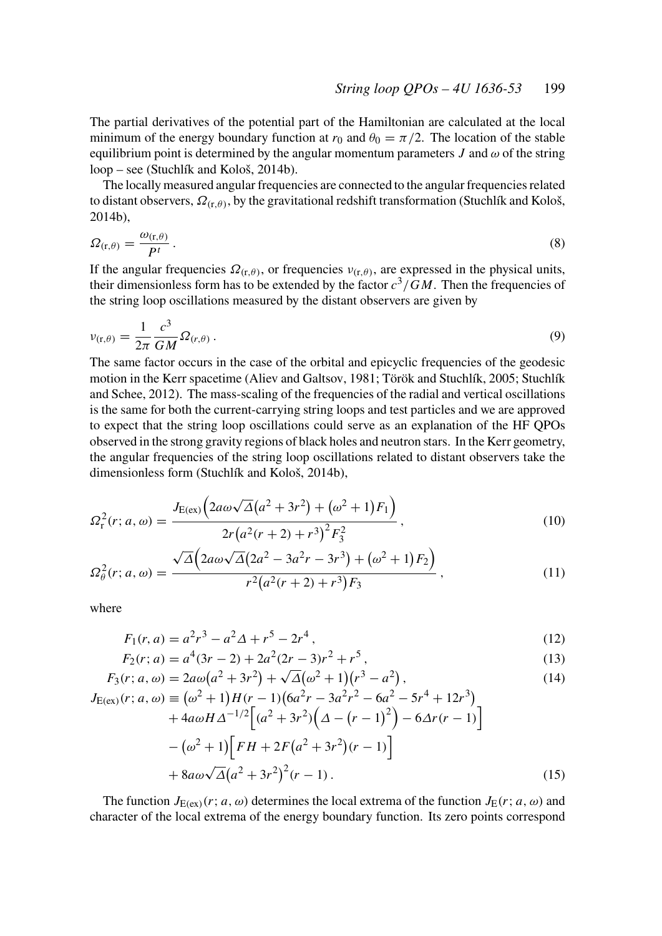The partial derivatives of the potential part of the Hamiltonian are calculated at the local minimum of the energy boundary function at  $r_0$  and  $\theta_0 = \pi/2$ . The location of the stable equilibrium point is determined by the angular momentum parameters  $J$  and  $\omega$  of the string loop – see (Stuchlík and Kološ, 2014b).

The locally measured angular frequencies are connected to the angular frequencies related to distant observers,  $\Omega_{(r,\theta)}$ , by the gravitational redshift transformation (Stuchlík and Kološ, 2014b),

$$
\Omega_{(\mathbf{r},\theta)} = \frac{\omega_{(\mathbf{r},\theta)}}{P^t} \,. \tag{8}
$$

If the angular frequencies  $\Omega_{(r,\theta)}$ , or frequencies  $v_{(r,\theta)}$ , are expressed in the physical units, their dimensionless form has to be extended by the factor  $c^3/GM$ . Then the frequencies of the string loop oscillations measured by the distant observers are given by

$$
\nu_{(\mathbf{r},\theta)} = \frac{1}{2\pi} \frac{c^3}{GM} \Omega_{(r,\theta)}.
$$
\n(9)

The same factor occurs in the case of the orbital and epicyclic frequencies of the geodesic motion in the Kerr spacetime (Aliev and Galtsov, 1981; Török and Stuchlík, 2005; Stuchlík and Schee, 2012). The mass-scaling of the frequencies of the radial and vertical oscillations is the same for both the current-carrying string loops and test particles and we are approved to expect that the string loop oscillations could serve as an explanation of the HF QPOs observed in the strong gravity regions of black holes and neutron stars. In the Kerr geometry, the angular frequencies of the string loop oscillations related to distant observers take the dimensionless form (Stuchlík and Kološ, 2014b),

$$
\Omega_{\rm r}^{2}(r; a, \omega) = \frac{J_{\rm E(ex)}\left(2a\omega\sqrt{\Delta}(a^{2} + 3r^{2}) + (\omega^{2} + 1)F_{1}\right)}{2r\left(a^{2}(r + 2) + r^{3}\right)^{2}F_{3}^{2}},
$$
\n(10)

$$
\Omega_{\theta}^{2}(r; a, \omega) = \frac{\sqrt{\Delta} \left(2a\omega\sqrt{\Delta}(2a^{2} - 3a^{2}r - 3r^{3}) + (\omega^{2} + 1)F_{2}\right)}{r^{2}(a^{2}(r + 2) + r^{3})F_{3}},
$$
\n(11)

where

$$
F_1(r, a) = a^2r^3 - a^2\Delta + r^5 - 2r^4,
$$
\n(12)

$$
F_2(r; a) = a^4(3r - 2) + 2a^2(2r - 3)r^2 + r^5,
$$
\n(13)

$$
F_3(r; a, \omega) = 2a\omega(a^2 + 3r^2) + \sqrt{\Delta}(\omega^2 + 1)(r^3 - a^2),
$$
\n(14)

$$
J_{E(ex)}(r; a, \omega) \equiv (\omega^2 + 1)H(r - 1)(6a^2r - 3a^2r^2 - 6a^2 - 5r^4 + 12r^3) + 4a\omega H \Delta^{-1/2} [(a^2 + 3r^2)(\Delta - (r - 1)^2) - 6\Delta r(r - 1)] - (\omega^2 + 1)[FH + 2F(a^2 + 3r^2)(r - 1)] + 8a\omega \sqrt{\Delta}(a^2 + 3r^2)^2(r - 1).
$$
 (15)

The function  $J_{E(ex)}(r; a, \omega)$  determines the local extrema of the function  $J_{E}(r; a, \omega)$  and character of the local extrema of the energy boundary function. Its zero points correspond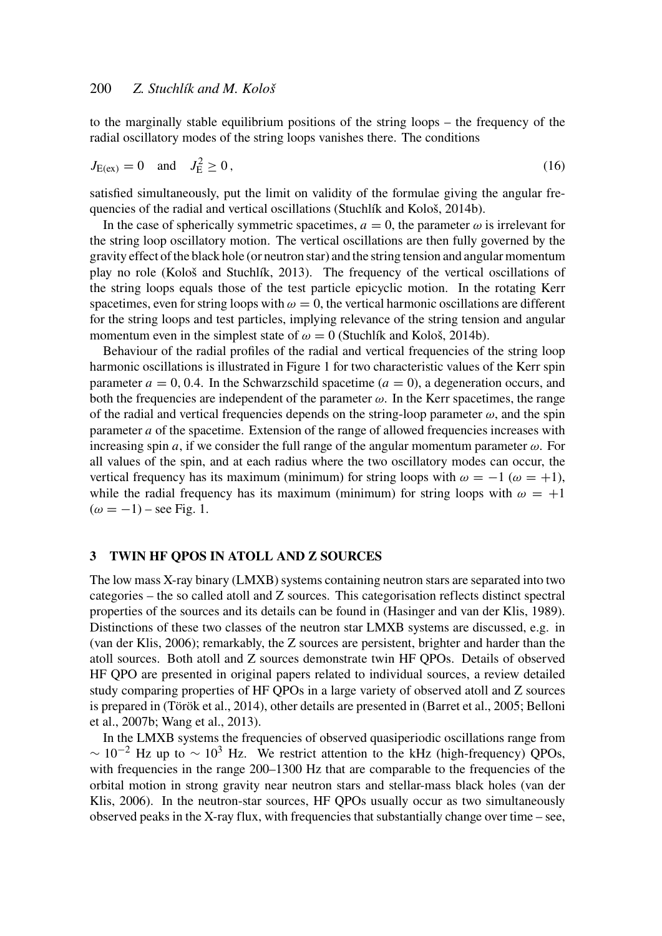to the marginally stable equilibrium positions of the string loops – the frequency of the radial oscillatory modes of the string loops vanishes there. The conditions

$$
J_{E(ex)} = 0
$$
 and  $J_E^2 \ge 0$ , (16)

satisfied simultaneously, put the limit on validity of the formulae giving the angular frequencies of the radial and vertical oscillations (Stuchlík and Kološ, 2014b).

In the case of spherically symmetric spacetimes,  $a = 0$ , the parameter  $\omega$  is irrelevant for the string loop oscillatory motion. The vertical oscillations are then fully governed by the gravity effect of the black hole (or neutron star) and the string tension and angular momentum play no role (Kološ and Stuchlík, 2013). The frequency of the vertical oscillations of the string loops equals those of the test particle epicyclic motion. In the rotating Kerr spacetimes, even for string loops with  $\omega = 0$ , the vertical harmonic oscillations are different for the string loops and test particles, implying relevance of the string tension and angular momentum even in the simplest state of  $\omega = 0$  (Stuchlík and Kološ, 2014b).

Behaviour of the radial profiles of the radial and vertical frequencies of the string loop harmonic oscillations is illustrated in Figure 1 for two characteristic values of the Kerr spin parameter  $a = 0, 0.4$ . In the Schwarzschild spacetime  $(a = 0)$ , a degeneration occurs, and both the frequencies are independent of the parameter  $\omega$ . In the Kerr spacetimes, the range of the radial and vertical frequencies depends on the string-loop parameter  $\omega$ , and the spin parameter *a* of the spacetime. Extension of the range of allowed frequencies increases with increasing spin *a*, if we consider the full range of the angular momentum parameter  $\omega$ . For all values of the spin, and at each radius where the two oscillatory modes can occur, the vertical frequency has its maximum (minimum) for string loops with  $\omega = -1$  ( $\omega = +1$ ), while the radial frequency has its maximum (minimum) for string loops with  $\omega = +1$  $(\omega = -1)$  – see Fig. 1.

#### 3 TWIN HF QPOS IN ATOLL AND Z SOURCES

The low mass X-ray binary (LMXB) systems containing neutron stars are separated into two categories – the so called atoll and Z sources. This categorisation reflects distinct spectral properties of the sources and its details can be found in (Hasinger and van der Klis, 1989). Distinctions of these two classes of the neutron star LMXB systems are discussed, e.g. in (van der Klis, 2006); remarkably, the Z sources are persistent, brighter and harder than the atoll sources. Both atoll and Z sources demonstrate twin HF QPOs. Details of observed HF QPO are presented in original papers related to individual sources, a review detailed study comparing properties of HF QPOs in a large variety of observed atoll and Z sources is prepared in (Török et al., 2014), other details are presented in (Barret et al., 2005; Belloni et al., 2007b; Wang et al., 2013).

In the LMXB systems the frequencies of observed quasiperiodic oscillations range from  $\sim 10^{-2}$  Hz up to  $\sim 10^{3}$  Hz. We restrict attention to the kHz (high-frequency) QPOs, with frequencies in the range 200–1300 Hz that are comparable to the frequencies of the orbital motion in strong gravity near neutron stars and stellar-mass black holes (van der Klis, 2006). In the neutron-star sources, HF QPOs usually occur as two simultaneously observed peaks in the X-ray flux, with frequencies that substantially change over time – see,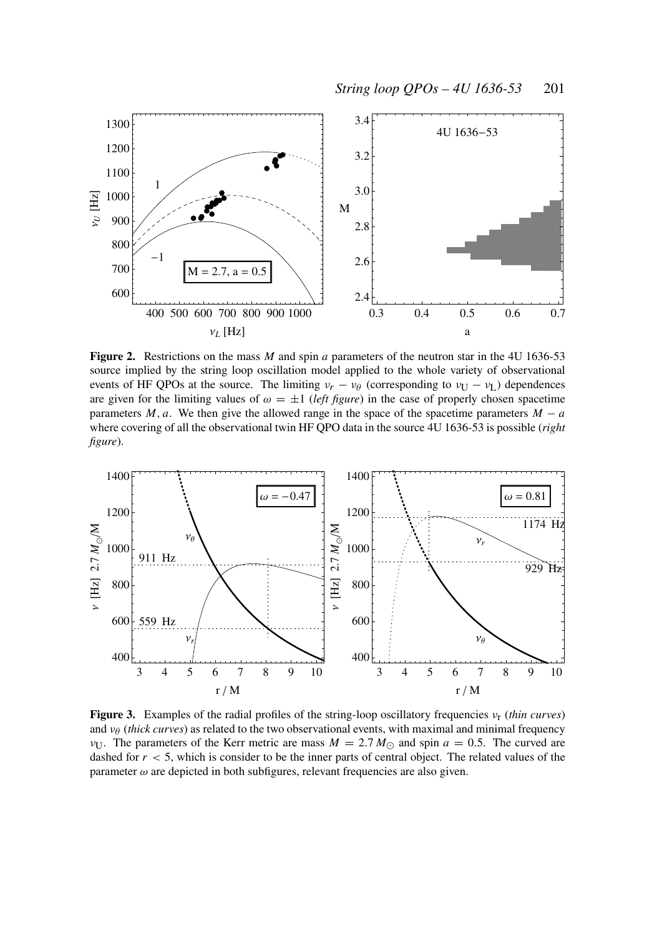

Figure 2. Restrictions on the mass *M* and spin *a* parameters of the neutron star in the 4U 1636-53 source implied by the string loop oscillation model applied to the whole variety of observational events of HF QPOs at the source. The limiting  $v_r - v_\theta$  (corresponding to  $v_U - v_L$ ) dependences are given for the limiting values of  $\omega = \pm 1$  (*left figure*) in the case of properly chosen spacetime parameters  $M$ ,  $a$ . We then give the allowed range in the space of the spacetime parameters  $M - a$ where covering of all the observational twin HF QPO data in the source 4U 1636-53 is possible (*right figure*).



Figure 3. Examples of the radial profiles of the string-loop oscillatory frequencies νr (*thin curves*) and  $v_{\theta}$  (*thick curves*) as related to the two observational events, with maximal and minimal frequency  $v_{\text{U}}$ . The parameters of the Kerr metric are mass  $M = 2.7 M_{\odot}$  and spin  $a = 0.5$ . The curved are dashed for  $r < 5$ , which is consider to be the inner parts of central object. The related values of the parameter  $\omega$  are depicted in both subfigures, relevant frequencies are also given.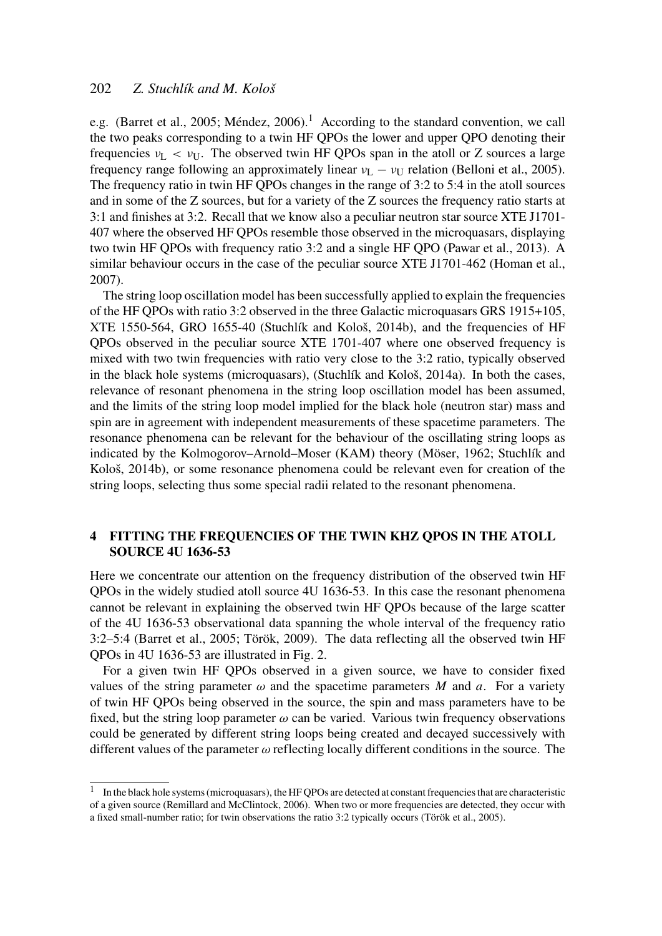e.g. (Barret et al., 2005; Méndez, 2006).<sup>1</sup> According to the standard convention, we call the two peaks corresponding to a twin HF QPOs the lower and upper QPO denoting their frequencies  $v_L < v_U$ . The observed twin HF QPOs span in the atoll or Z sources a large frequency range following an approximately linear  $v_L - v_U$  relation (Belloni et al., 2005). The frequency ratio in twin HF QPOs changes in the range of 3:2 to 5:4 in the atoll sources and in some of the Z sources, but for a variety of the Z sources the frequency ratio starts at 3:1 and finishes at 3:2. Recall that we know also a peculiar neutron star source XTE J1701- 407 where the observed HF QPOs resemble those observed in the microquasars, displaying two twin HF QPOs with frequency ratio 3:2 and a single HF QPO (Pawar et al., 2013). A similar behaviour occurs in the case of the peculiar source XTE J1701-462 (Homan et al., 2007).

The string loop oscillation model has been successfully applied to explain the frequencies of the HF QPOs with ratio 3:2 observed in the three Galactic microquasars GRS 1915+105, XTE 1550-564, GRO 1655-40 (Stuchlík and Kološ, 2014b), and the frequencies of HF QPOs observed in the peculiar source XTE 1701-407 where one observed frequency is mixed with two twin frequencies with ratio very close to the 3:2 ratio, typically observed in the black hole systems (microquasars), (Stuchlík and Kološ, 2014a). In both the cases, relevance of resonant phenomena in the string loop oscillation model has been assumed, and the limits of the string loop model implied for the black hole (neutron star) mass and spin are in agreement with independent measurements of these spacetime parameters. The resonance phenomena can be relevant for the behaviour of the oscillating string loops as indicated by the Kolmogorov–Arnold–Moser (KAM) theory (Möser, 1962; Stuchlík and Kološ, 2014b), or some resonance phenomena could be relevant even for creation of the string loops, selecting thus some special radii related to the resonant phenomena.

# 4 FITTING THE FREQUENCIES OF THE TWIN KHZ QPOS IN THE ATOLL SOURCE 4U 1636-53

Here we concentrate our attention on the frequency distribution of the observed twin HF QPOs in the widely studied atoll source 4U 1636-53. In this case the resonant phenomena cannot be relevant in explaining the observed twin HF QPOs because of the large scatter of the 4U 1636-53 observational data spanning the whole interval of the frequency ratio 3:2–5:4 (Barret et al., 2005; Török, 2009). The data reflecting all the observed twin HF QPOs in 4U 1636-53 are illustrated in Fig. 2.

For a given twin HF QPOs observed in a given source, we have to consider fixed values of the string parameter  $\omega$  and the spacetime parameters M and a. For a variety of twin HF QPOs being observed in the source, the spin and mass parameters have to be fixed, but the string loop parameter  $\omega$  can be varied. Various twin frequency observations could be generated by different string loops being created and decayed successively with different values of the parameter  $\omega$  reflecting locally different conditions in the source. The

<sup>1</sup> In the black hole systems (microquasars), the HF QPOs are detected at constant frequencies that are characteristic of a given source (Remillard and McClintock, 2006). When two or more frequencies are detected, they occur with a fixed small-number ratio; for twin observations the ratio 3:2 typically occurs (Török et al., 2005).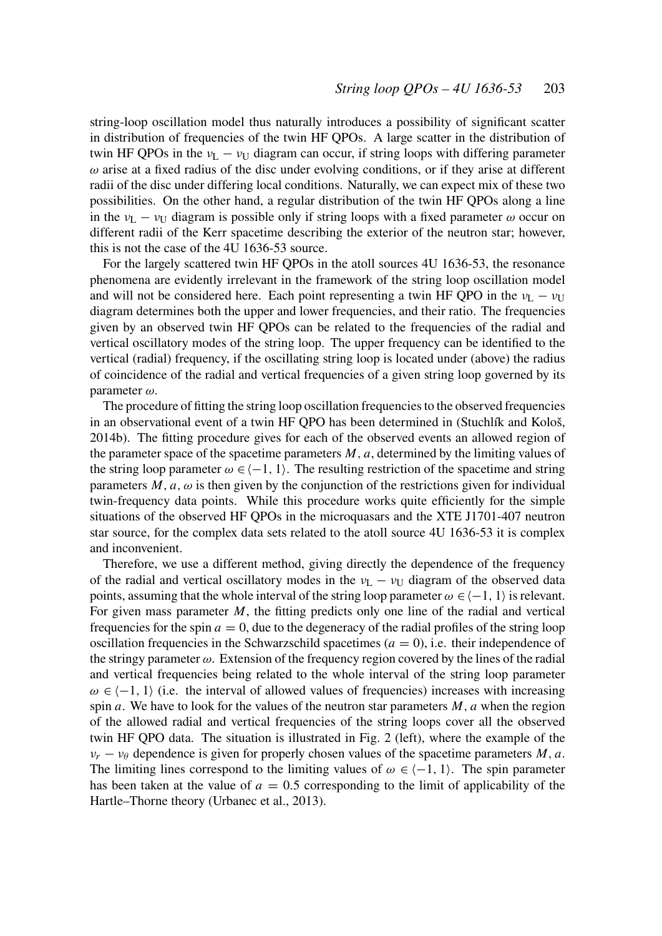string-loop oscillation model thus naturally introduces a possibility of significant scatter in distribution of frequencies of the twin HF QPOs. A large scatter in the distribution of twin HF QPOs in the  $v_L - v_U$  diagram can occur, if string loops with differing parameter  $\omega$  arise at a fixed radius of the disc under evolving conditions, or if they arise at different radii of the disc under differing local conditions. Naturally, we can expect mix of these two possibilities. On the other hand, a regular distribution of the twin HF QPOs along a line in the  $v_L - v_U$  diagram is possible only if string loops with a fixed parameter  $\omega$  occur on different radii of the Kerr spacetime describing the exterior of the neutron star; however, this is not the case of the 4U 1636-53 source.

For the largely scattered twin HF QPOs in the atoll sources 4U 1636-53, the resonance phenomena are evidently irrelevant in the framework of the string loop oscillation model and will not be considered here. Each point representing a twin HF QPO in the  $v_L - v_U$ diagram determines both the upper and lower frequencies, and their ratio. The frequencies given by an observed twin HF QPOs can be related to the frequencies of the radial and vertical oscillatory modes of the string loop. The upper frequency can be identified to the vertical (radial) frequency, if the oscillating string loop is located under (above) the radius of coincidence of the radial and vertical frequencies of a given string loop governed by its parameter ω.

The procedure of fitting the string loop oscillation frequencies to the observed frequencies in an observational event of a twin HF QPO has been determined in (Stuchlík and Kološ, 2014b). The fitting procedure gives for each of the observed events an allowed region of the parameter space of the spacetime parameters  $M$ ,  $a$ , determined by the limiting values of the string loop parameter  $\omega \in \{-1, 1\}$ . The resulting restriction of the spacetime and string parameters  $M$ ,  $a$ ,  $\omega$  is then given by the conjunction of the restrictions given for individual twin-frequency data points. While this procedure works quite efficiently for the simple situations of the observed HF QPOs in the microquasars and the XTE J1701-407 neutron star source, for the complex data sets related to the atoll source 4U 1636-53 it is complex and inconvenient.

Therefore, we use a different method, giving directly the dependence of the frequency of the radial and vertical oscillatory modes in the  $v_L - v_U$  diagram of the observed data points, assuming that the whole interval of the string loop parameter  $\omega \in \langle -1, 1 \rangle$  is relevant. For given mass parameter M, the fitting predicts only one line of the radial and vertical frequencies for the spin  $a = 0$ , due to the degeneracy of the radial profiles of the string loop oscillation frequencies in the Schwarzschild spacetimes  $(a = 0)$ , i.e. their independence of the stringy parameter  $\omega$ . Extension of the frequency region covered by the lines of the radial and vertical frequencies being related to the whole interval of the string loop parameter  $\omega \in \{-1, 1\}$  (i.e. the interval of allowed values of frequencies) increases with increasing spin *a*. We have to look for the values of the neutron star parameters  $M$ ,  $a$  when the region of the allowed radial and vertical frequencies of the string loops cover all the observed twin HF QPO data. The situation is illustrated in Fig. 2 (left), where the example of the  $v_r - v_\theta$  dependence is given for properly chosen values of the spacetime parameters *M*, *a*. The limiting lines correspond to the limiting values of  $\omega \in \{-1, 1\}$ . The spin parameter has been taken at the value of  $a = 0.5$  corresponding to the limit of applicability of the Hartle–Thorne theory (Urbanec et al., 2013).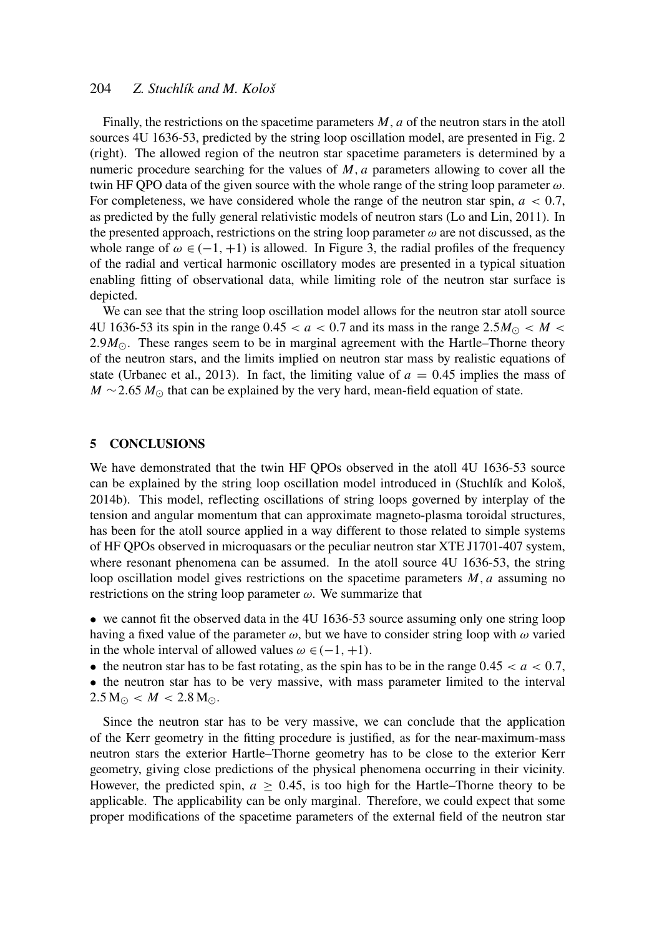Finally, the restrictions on the spacetime parameters *M*, *a* of the neutron stars in the atoll sources 4U 1636-53, predicted by the string loop oscillation model, are presented in Fig. 2 (right). The allowed region of the neutron star spacetime parameters is determined by a numeric procedure searching for the values of *M*, *a* parameters allowing to cover all the twin HF QPO data of the given source with the whole range of the string loop parameter  $\omega$ . For completeness, we have considered whole the range of the neutron star spin,  $a < 0.7$ , as predicted by the fully general relativistic models of neutron stars (Lo and Lin, 2011). In the presented approach, restrictions on the string loop parameter  $\omega$  are not discussed, as the whole range of  $\omega \in (-1, +1)$  is allowed. In Figure 3, the radial profiles of the frequency of the radial and vertical harmonic oscillatory modes are presented in a typical situation enabling fitting of observational data, while limiting role of the neutron star surface is depicted.

We can see that the string loop oscillation model allows for the neutron star atoll source 4U 1636-53 its spin in the range 0.45  $\lt a \lt 0.7$  and its mass in the range 2.5 $M_{\odot} \lt M \lt \lt d$ 2.9 $M_{\odot}$ . These ranges seem to be in marginal agreement with the Hartle–Thorne theory of the neutron stars, and the limits implied on neutron star mass by realistic equations of state (Urbanec et al., 2013). In fact, the limiting value of  $a = 0.45$  implies the mass of  $M \sim 2.65 M_{\odot}$  that can be explained by the very hard, mean-field equation of state.

#### 5 CONCLUSIONS

We have demonstrated that the twin HF QPOs observed in the atoll 4U 1636-53 source can be explained by the string loop oscillation model introduced in (Stuchlík and Kološ, 2014b). This model, reflecting oscillations of string loops governed by interplay of the tension and angular momentum that can approximate magneto-plasma toroidal structures, has been for the atoll source applied in a way different to those related to simple systems of HF QPOs observed in microquasars or the peculiar neutron star XTE J1701-407 system, where resonant phenomena can be assumed. In the atoll source 4U 1636-53, the string loop oscillation model gives restrictions on the spacetime parameters *M*, *a* assuming no restrictions on the string loop parameter  $\omega$ . We summarize that

• we cannot fit the observed data in the 4U 1636-53 source assuming only one string loop having a fixed value of the parameter  $\omega$ , but we have to consider string loop with  $\omega$  varied in the whole interval of allowed values  $\omega \in (-1, +1)$ .

• the neutron star has to be fast rotating, as the spin has to be in the range  $0.45 < a < 0.7$ ,

• the neutron star has to be very massive, with mass parameter limited to the interval  $2.5 M_{\odot} < M < 2.8 M_{\odot}$ .

Since the neutron star has to be very massive, we can conclude that the application of the Kerr geometry in the fitting procedure is justified, as for the near-maximum-mass neutron stars the exterior Hartle–Thorne geometry has to be close to the exterior Kerr geometry, giving close predictions of the physical phenomena occurring in their vicinity. However, the predicted spin,  $a \geq 0.45$ , is too high for the Hartle–Thorne theory to be applicable. The applicability can be only marginal. Therefore, we could expect that some proper modifications of the spacetime parameters of the external field of the neutron star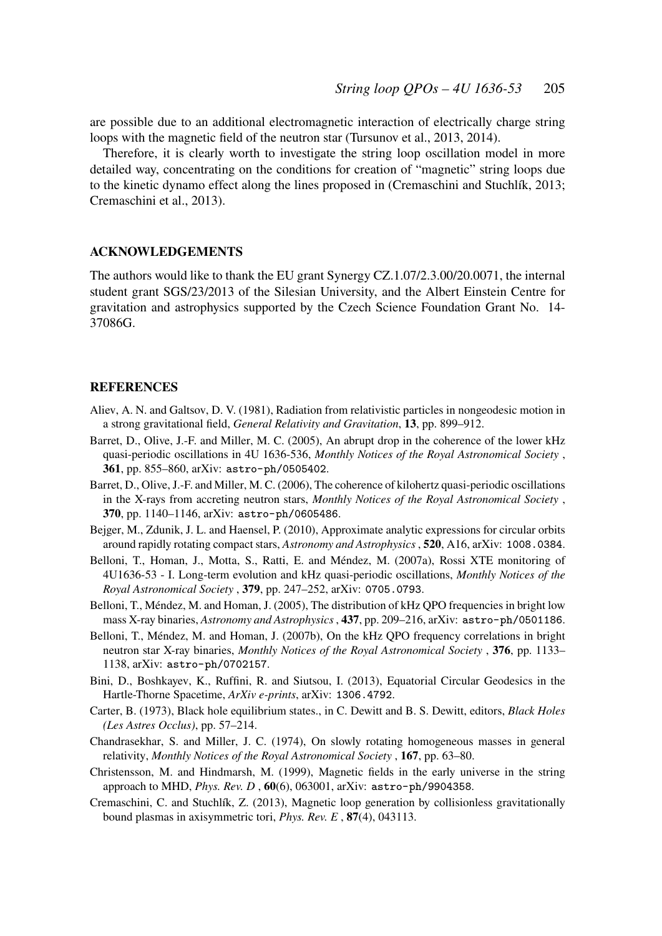are possible due to an additional electromagnetic interaction of electrically charge string loops with the magnetic field of the neutron star (Tursunov et al., 2013, 2014).

Therefore, it is clearly worth to investigate the string loop oscillation model in more detailed way, concentrating on the conditions for creation of "magnetic" string loops due to the kinetic dynamo effect along the lines proposed in (Cremaschini and Stuchlík, 2013; Cremaschini et al., 2013).

#### ACKNOWLEDGEMENTS

The authors would like to thank the EU grant Synergy CZ.1.07/2.3.00/20.0071, the internal student grant SGS/23/2013 of the Silesian University, and the Albert Einstein Centre for gravitation and astrophysics supported by the Czech Science Foundation Grant No. 14- 37086G.

#### **REFERENCES**

- Aliev, A. N. and Galtsov, D. V. (1981), Radiation from relativistic particles in nongeodesic motion in a strong gravitational field, *General Relativity and Gravitation*, 13, pp. 899–912.
- Barret, D., Olive, J.-F. and Miller, M. C. (2005), An abrupt drop in the coherence of the lower kHz quasi-periodic oscillations in 4U 1636-536, *Monthly Notices of the Royal Astronomical Society* , 361, pp. 855–860, arXiv: astro-ph/0505402.
- Barret, D., Olive, J.-F. and Miller, M. C. (2006), The coherence of kilohertz quasi-periodic oscillations in the X-rays from accreting neutron stars, *Monthly Notices of the Royal Astronomical Society* , 370, pp. 1140–1146, arXiv: astro-ph/0605486.
- Bejger, M., Zdunik, J. L. and Haensel, P. (2010), Approximate analytic expressions for circular orbits around rapidly rotating compact stars, *Astronomy and Astrophysics* , 520, A16, arXiv: 1008.0384.
- Belloni, T., Homan, J., Motta, S., Ratti, E. and Méndez, M. (2007a), Rossi XTE monitoring of 4U1636-53 - I. Long-term evolution and kHz quasi-periodic oscillations, *Monthly Notices of the Royal Astronomical Society* , 379, pp. 247–252, arXiv: 0705.0793.
- Belloni, T., Méndez, M. and Homan, J. (2005), The distribution of kHz QPO frequencies in bright low mass X-ray binaries, *Astronomy and Astrophysics*, 437, pp. 209–216, arXiv: astro-ph/0501186.
- Belloni, T., Méndez, M. and Homan, J. (2007b), On the kHz QPO frequency correlations in bright neutron star X-ray binaries, *Monthly Notices of the Royal Astronomical Society* , 376, pp. 1133– 1138, arXiv: astro-ph/0702157.
- Bini, D., Boshkayev, K., Ruffini, R. and Siutsou, I. (2013), Equatorial Circular Geodesics in the Hartle-Thorne Spacetime, *ArXiv e-prints*, arXiv: 1306.4792.
- Carter, B. (1973), Black hole equilibrium states., in C. Dewitt and B. S. Dewitt, editors, *Black Holes (Les Astres Occlus)*, pp. 57–214.
- Chandrasekhar, S. and Miller, J. C. (1974), On slowly rotating homogeneous masses in general relativity, *Monthly Notices of the Royal Astronomical Society* , 167, pp. 63–80.
- Christensson, M. and Hindmarsh, M. (1999), Magnetic fields in the early universe in the string approach to MHD, *Phys. Rev. D* , 60(6), 063001, arXiv: astro-ph/9904358.
- Cremaschini, C. and Stuchlík, Z. (2013), Magnetic loop generation by collisionless gravitationally bound plasmas in axisymmetric tori, *Phys. Rev. E* , 87(4), 043113.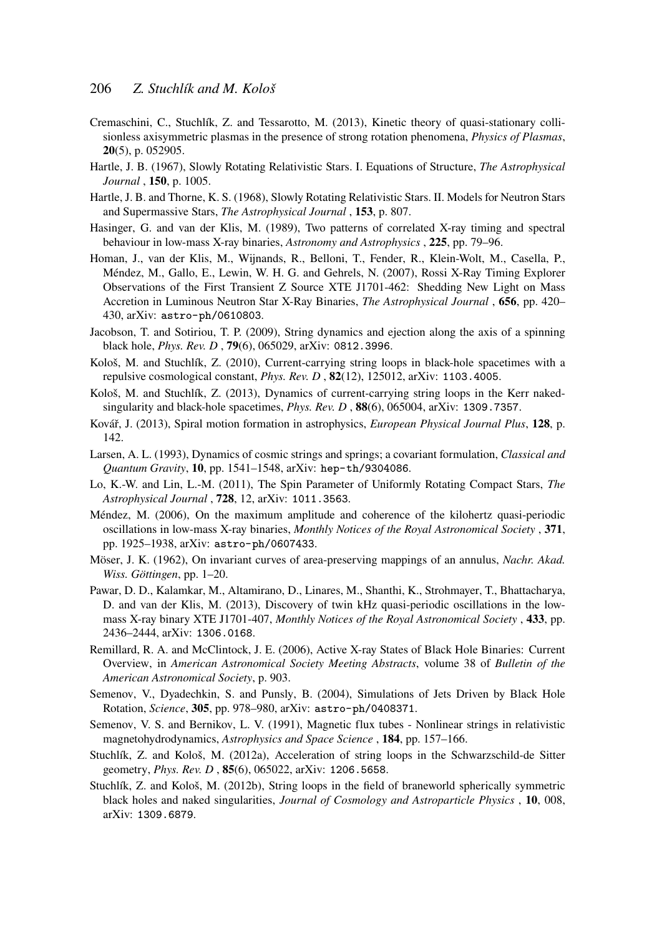- Cremaschini, C., Stuchlík, Z. and Tessarotto, M. (2013), Kinetic theory of quasi-stationary collisionless axisymmetric plasmas in the presence of strong rotation phenomena, *Physics of Plasmas*, 20(5), p. 052905.
- Hartle, J. B. (1967), Slowly Rotating Relativistic Stars. I. Equations of Structure, *The Astrophysical Journal* , 150, p. 1005.
- Hartle, J. B. and Thorne, K. S. (1968), Slowly Rotating Relativistic Stars. II. Models for Neutron Stars and Supermassive Stars, *The Astrophysical Journal* , 153, p. 807.
- Hasinger, G. and van der Klis, M. (1989), Two patterns of correlated X-ray timing and spectral behaviour in low-mass X-ray binaries, *Astronomy and Astrophysics* , 225, pp. 79–96.
- Homan, J., van der Klis, M., Wijnands, R., Belloni, T., Fender, R., Klein-Wolt, M., Casella, P., Méndez, M., Gallo, E., Lewin, W. H. G. and Gehrels, N. (2007), Rossi X-Ray Timing Explorer Observations of the First Transient Z Source XTE J1701-462: Shedding New Light on Mass Accretion in Luminous Neutron Star X-Ray Binaries, *The Astrophysical Journal* , 656, pp. 420– 430, arXiv: astro-ph/0610803.
- Jacobson, T. and Sotiriou, T. P. (2009), String dynamics and ejection along the axis of a spinning black hole, *Phys. Rev. D* , 79(6), 065029, arXiv: 0812.3996.
- Kološ, M. and Stuchlík, Z. (2010), Current-carrying string loops in black-hole spacetimes with a repulsive cosmological constant, *Phys. Rev. D* , 82(12), 125012, arXiv: 1103.4005.
- Kološ, M. and Stuchlík, Z. (2013), Dynamics of current-carrying string loops in the Kerr nakedsingularity and black-hole spacetimes, *Phys. Rev. D* , 88(6), 065004, arXiv: 1309.7357.
- Kovář, J. (2013), Spiral motion formation in astrophysics, *European Physical Journal Plus*, 128, p. 142.
- Larsen, A. L. (1993), Dynamics of cosmic strings and springs; a covariant formulation, *Classical and Quantum Gravity*, 10, pp. 1541–1548, arXiv: hep-th/9304086.
- Lo, K.-W. and Lin, L.-M. (2011), The Spin Parameter of Uniformly Rotating Compact Stars, *The Astrophysical Journal* , 728, 12, arXiv: 1011.3563.
- Méndez, M. (2006), On the maximum amplitude and coherence of the kilohertz quasi-periodic oscillations in low-mass X-ray binaries, *Monthly Notices of the Royal Astronomical Society* , 371, pp. 1925–1938, arXiv: astro-ph/0607433.
- Möser, J. K. (1962), On invariant curves of area-preserving mappings of an annulus, *Nachr. Akad. Wiss. Göttingen*, pp. 1–20.
- Pawar, D. D., Kalamkar, M., Altamirano, D., Linares, M., Shanthi, K., Strohmayer, T., Bhattacharya, D. and van der Klis, M. (2013), Discovery of twin kHz quasi-periodic oscillations in the lowmass X-ray binary XTE J1701-407, *Monthly Notices of the Royal Astronomical Society* , 433, pp. 2436–2444, arXiv: 1306.0168.
- Remillard, R. A. and McClintock, J. E. (2006), Active X-ray States of Black Hole Binaries: Current Overview, in *American Astronomical Society Meeting Abstracts*, volume 38 of *Bulletin of the American Astronomical Society*, p. 903.
- Semenov, V., Dyadechkin, S. and Punsly, B. (2004), Simulations of Jets Driven by Black Hole Rotation, *Science*, 305, pp. 978–980, arXiv: astro-ph/0408371.
- Semenov, V. S. and Bernikov, L. V. (1991), Magnetic flux tubes Nonlinear strings in relativistic magnetohydrodynamics, *Astrophysics and Space Science* , 184, pp. 157–166.
- Stuchlík, Z. and Kološ, M. (2012a), Acceleration of string loops in the Schwarzschild-de Sitter geometry, *Phys. Rev. D* , 85(6), 065022, arXiv: 1206.5658.
- Stuchlík, Z. and Kološ, M. (2012b), String loops in the field of braneworld spherically symmetric black holes and naked singularities, *Journal of Cosmology and Astroparticle Physics* , 10, 008, arXiv: 1309.6879.